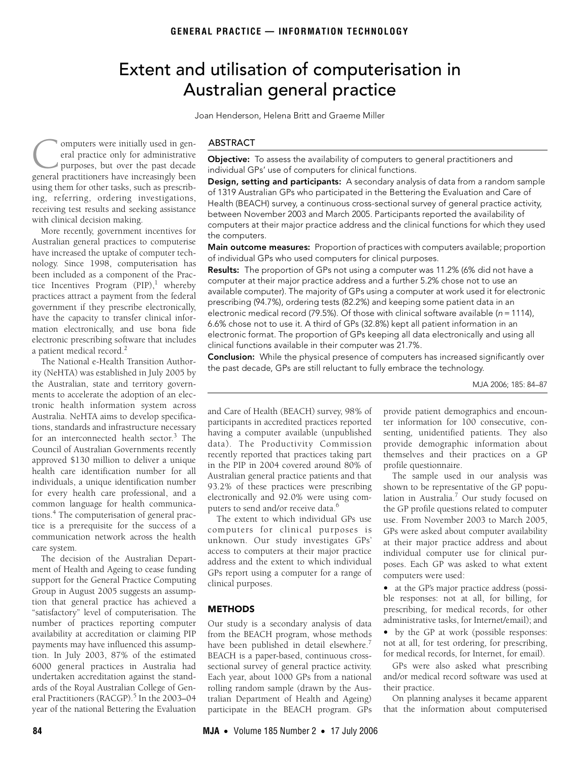# Extent and utilisation of computerisation in Australian general practice

Joan Henderson, Helena Britt and Graeme Miller

<span id="page-0-0"></span>with clinical decision making. omputers were initially used in general practice only for administrative purposes, but over the past decade omputers were initially used in general practice only for administrative purposes, but over the past decade general practitioners have increasingly been using them for other tasks, such as prescribing, referring, ordering investigations, receiving test results and seeking assistance

More recently, government ince[ntiv](#page-0-0)[es](#page-3-7) for Australian general practices to computerise have increased the uptake of computer technology. Since 1998, computerisation has nology been included as a component of the Practice Incentives Program  $(PIP)$ ,<sup>1</sup> whereby practices attract a payment from the federal government if they prescribe electronically, have the capacity to transfer clinical information electronically, and use bona fide electronic prescribing software that includes a patient medical record.<sup>2</sup>

The National e-Health Transition Authority (NeHTA) was established in July 2005 by the Australian, state and territory governments to accelerate the adoption of an electronic health information system across Australia. NeHTA aims to develop specifications, standards and infrastructure necessary for an interconnected health sector.<sup>[3](#page-3-2)</sup> The Council of Australian Governments recently approved \$130 million to deliver a unique health care identification number for all individuals, a unique identification number for every health care professional, and a common language for health communications.<sup>4</sup> The computerisation of general practice is a prerequisite for the success of a communication network across the health care system.

The decision of the Australian Department of Health and Ageing to cease funding support for the General Practice Computing Group in August 2005 suggests an assumption that general practice has achieved a "satisfactory" level of computerisation. The number of practices reporting computer availability at accreditation or claiming PIP payments may have influenced this assumption. In July 2003, 87% of the estimated 6000 general practices in Australia had undertaken accreditation against the standards of the Royal Australian College of Gen-eral Practitioners (RACGP).<sup>[5](#page-3-4)</sup> In the 2003–04 year of the national Bettering the Evaluation

#### ABSTRACT

**Objective:** To assess the availability of computers to general practitioners and individual GPs' use of computers for clinical functions.

**Design, setting and participants:** A secondary analysis of data from a random sample of 1319 Australian GPs who participated in the Bettering the Evaluation and Care of Health (BEACH) survey, a continuous cross-sectional survey of general practice activity, between November 2003 and March 2005. Participants reported the availability of computers at their major practice address and the clinical functions for which they used the computers.

**Main outcome measures:** Proportion of practices with computers available; proportion of individual GPs who used computers for clinical purposes.

**Results:** The proportion of GPs not using a computer was 11.2% (6% did not have a computer at their major practice address and a further 5.2% chose not to use an available computer). The majority of GPs using a computer at work used it for electronic prescribing (94.7%), ordering tests (82.2%) and keeping some patient data in an electronic medical record (79.5%). Of those with clinical software available ( $n = 1114$ ), 6.6% chose not to use it. A third of GPs (32.8%) kept all patient information in an electronic format. The proportion of GPs keeping all data electronically and using all clinical functions available in their computer was 21.7%.

**Conclusion:** While the physical presence of computers has increased significantly over the past decade, GPs are still reluctant to fully embrace the technology.

MJA 2006; 185: 84–87

and Care of Health (BEACH) survey, 98% of participants in accredited practices reported having a computer available (unpublished data). The Productivity Commission recently reported that practices taking part in the PIP in 2004 covered around 80% of Australian general practice patients and that 93.2% of these practices were prescribing electronically and 92.0% were using computers to send and/or receive data.<sup>6</sup>

The extent to which individual GPs use computers for clinical purposes is unknown. Our study investigates GPs' access to computers at their major practice address and the extent to which individual GPs report using a computer for a range of clinical purposes.

# **METHODS**

Our study is a secondary analysis of data from the BEACH program, whose methods have been published in detail elsewhere.<sup>[7](#page-3-6)</sup> BEACH is a paper-based, continuous crosssectional survey of general practice activity. Each year, about 1000 GPs from a national rolling random sample (drawn by the Australian Department of Health and Ageing) participate in the BEACH program. GPs provide patient demographics and encounter information for 100 consecutive, consenting, unidentified patients. They also provide demographic information about themselves and their practices on a GP profile questionnaire.

The sample used in our analysis was shown to be representative of the GP population in Australia.<sup>7</sup> Our study focused on the GP profile questions related to computer use. From November 2003 to March 2005, GPs were asked about computer availability at their major practice address and about individual computer use for clinical purposes. Each GP was asked to what extent computers were used:

**•** at the GP's major practice address (possible responses: not at all, for billing, for prescribing, for medical records, for other administrative tasks, for Internet/email); and

• by the GP at work (possible responses: not at all, for test ordering, for prescribing, for medical records, for Internet, for email).

GPs were also asked what prescribing and/or medical record software was used at their practice.

On planning analyses it became apparent that the information about computerised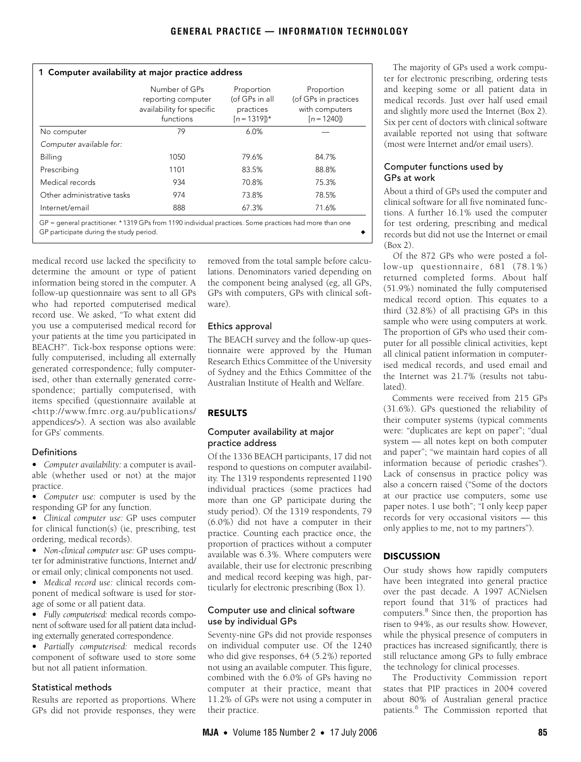<span id="page-1-0"></span>

| 1 Computer availability at major practice address | Number of GPs<br>reporting computer<br>availability for specific<br>functions | Proportion<br>(of GPs in all<br>practices<br>$[n = 1319]$ * | Proportion<br>(of GPs in practices<br>with computers<br>$[n = 1240]$ |
|---------------------------------------------------|-------------------------------------------------------------------------------|-------------------------------------------------------------|----------------------------------------------------------------------|
| No computer                                       | 79                                                                            | 6.0%                                                        |                                                                      |
| Computer available for:                           |                                                                               |                                                             |                                                                      |
| Billing                                           | 1050                                                                          | 79.6%                                                       | 84.7%                                                                |
| Prescribing                                       | 1101                                                                          | 83.5%                                                       | 88.8%                                                                |
| Medical records                                   | 934                                                                           | 70.8%                                                       | 75.3%                                                                |
| Other administrative tasks                        | 974                                                                           | 73.8%                                                       | 78.5%                                                                |
| Internet/email                                    | 888                                                                           | 67.3%                                                       | 71.6%                                                                |

GP = general practitioner. \* 1319 GPs from 1190 individual practices. Some practices had more than one GP participate during the study period.

medical record use lacked the specificity to determine the amount or type of patient information being stored in the computer. A follow-up questionnaire was sent to all GPs who had reported computerised medical record use. We asked, "To what extent did you use a computerised medical record for your patients at the time you participated in BEACH?". Tick-box response options were: fully computerised, including all externally generated correspondence; fully computerised, other than externally generated correspondence; partially computerised, with items specified (questionnaire available at <http://www.fmrc.org.au/publications/ appendices/>). A section was also available for GPs' comments.

#### Definitions

**•** *Computer availability:* a computer is available (whether used or not) at the major practice.

**•** *Computer use:* computer is used by the responding GP for any function.

**•** *Clinical computer use:* GP uses computer for clinical function(s) (ie, prescribing, test ordering, medical records).

**•** *Non-clinical computer use:* GP uses computer for administrative functions, Internet and/ or email only; clinical components not used.

**•** *Medical record use:* clinical records component of medical software is used for storage of some or all patient data.

**•** *Fully computerised:* medical records component of software used for all patient data including externally generated correspondence.

**•** *Partially computerised:* medical records component of software used to store some but not all patient information.

#### Statistical methods

Results are reported as proportions. Where GPs did not provide responses, they were removed from the total sample before calculations. Denominators varied depending on the component being analysed (eg, all GPs, GPs with computers, GPs with clinical software).

## Ethics approval

The BEACH survey and the follow-up questionnaire were approved by the Human Research Ethics Committee of the University of Sydney and the Ethics Committee of the Australian Institute of Health and Welfare.

# **RESULTS**

# Computer availability at major practice address

Of the 1336 BEACH participants, 17 did not respond to questions on computer availability. The 1319 respondents represented 1190 individual practices (some practices had more than one GP participate during the study period). Of the 1319 respondents, 79 (6.0%) did not have a computer in their practice. Counting each practice once, the proportion of practices without a computer available was 6.3%. Where computers were available, their use for electronic prescribing and medical record keeping was high, particularly for electronic prescribing [\(Box 1\)](#page-1-0).

## Computer use and clinical software use by individual GPs

Seventy-nine GPs did not provide responses on individual computer use. Of the 1240 who did give responses, 64 (5.2%) reported not using an available computer. This figure, combined with the 6.0% of GPs having no computer at their practice, meant that 11.2% of GPs were not using a computer in their practice.

The majority of GPs used a work computer for electronic prescribing, ordering tests and keeping some or all patient data in medical records. Just over half used email and slightly more used the Internet ([Box 2](#page-2-0)). Six per cent of doctors with clinical software available reported not using that software (most were Internet and/or email users).

## Computer functions used by GPs at work

About a third of GPs used the computer and clinical software for all five nominated functions. A further 16.1% used the computer for test ordering, prescribing and medical records but did not use the Internet or email  $(Box 2)$  $(Box 2)$ 

Of the 872 GPs who were posted a follow-up questionnaire, 681 (78.1%) returned completed forms. About half (51.9%) nominated the fully computerised medical record option. This equates to a third (32.8%) of all practising GPs in this sample who were using computers at work. The proportion of GPs who used their computer for all possible clinical activities, kept all clinical patient information in computerised medical records, and used email and the Internet was 21.7% (results not tabulated).

Comments were received from 215 GPs (31.6%). GPs questioned the reliability of their computer systems (typical comments were: "duplicates are kept on paper"; "dual system — all notes kept on both computer and paper"; "we maintain hard copies of all information because of periodic crashes"). Lack of consensus in practice policy was also a concern raised ("Some of the doctors at our practice use computers, some use paper notes. I use both"; "I only keep paper records for very occasional visitors — this only applies to me, not to my partners").

# **DISCUSSION**

Our study shows how rapidly computers have been integrated into general practice over the past decade. A 1997 ACNielsen report found that 31% of practices had computers.<sup>[8](#page-3-8)</sup> Since then, the proportion has risen to 94%, as our results show. However, while the physical presence of computers in practices has increased significantly, there is still reluctance among GPs to fully embrace the technology for clinical processes.

The Productivity Commission report states that PIP practices in 2004 covered about 80% of Australian general practice patients.<sup>6</sup> The Commission reported that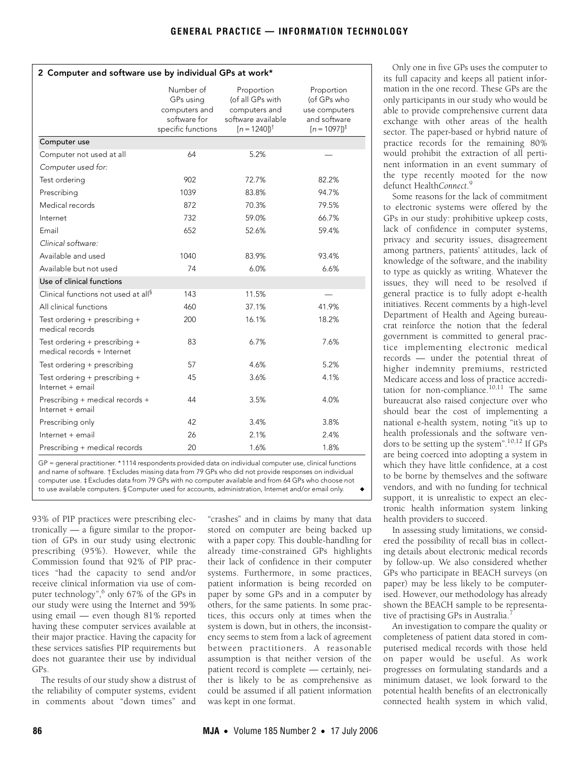<span id="page-2-0"></span>

| 2 Computer and software use by individual GPs at work*      |                                                                               |                                                                                                    |                                                                                         |  |  |
|-------------------------------------------------------------|-------------------------------------------------------------------------------|----------------------------------------------------------------------------------------------------|-----------------------------------------------------------------------------------------|--|--|
|                                                             | Number of<br>GPs using<br>computers and<br>software for<br>specific functions | Proportion<br>(of all GPs with<br>computers and<br>software available<br>$[n = 1240]$ <sup>†</sup> | Proportion<br>(of GPs who<br>use computers<br>and software<br>$[n = 1097]$ <sup>‡</sup> |  |  |
| Computer use                                                |                                                                               |                                                                                                    |                                                                                         |  |  |
| Computer not used at all                                    | 64                                                                            | 5.2%                                                                                               |                                                                                         |  |  |
| Computer used for:                                          |                                                                               |                                                                                                    |                                                                                         |  |  |
| Test ordering                                               | 902                                                                           | 72.7%                                                                                              | 82.2%                                                                                   |  |  |
| Prescribing                                                 | 1039                                                                          | 83.8%                                                                                              | 94.7%                                                                                   |  |  |
| Medical records                                             | 872                                                                           | 70.3%                                                                                              | 79.5%                                                                                   |  |  |
| Internet                                                    | 732                                                                           | 59.0%                                                                                              | 66.7%                                                                                   |  |  |
| Email                                                       | 652                                                                           | 52.6%                                                                                              | 59.4%                                                                                   |  |  |
| Clinical software:                                          |                                                                               |                                                                                                    |                                                                                         |  |  |
| Available and used                                          | 1040                                                                          | 83.9%                                                                                              | 93.4%                                                                                   |  |  |
| Available but not used                                      | 74                                                                            | 6.0%                                                                                               | 6.6%                                                                                    |  |  |
| Use of clinical functions                                   |                                                                               |                                                                                                    |                                                                                         |  |  |
| Clinical functions not used at all <sup>§</sup>             | 143                                                                           | 11.5%                                                                                              |                                                                                         |  |  |
| All clinical functions                                      | 460                                                                           | 37.1%                                                                                              | 41.9%                                                                                   |  |  |
| Test ordering + prescribing +<br>medical records            | 200                                                                           | 16.1%                                                                                              | 18.2%                                                                                   |  |  |
| Test ordering + prescribing +<br>medical records + Internet | 83                                                                            | 6.7%                                                                                               | 7.6%                                                                                    |  |  |
| Test ordering + prescribing                                 | 57                                                                            | 4.6%                                                                                               | 5.2%                                                                                    |  |  |
| Test ordering + prescribing +<br>$Internet + email$         | 45                                                                            | 3.6%                                                                                               | 4.1%                                                                                    |  |  |
| Prescribing + medical records +<br>Internet + email         | 44                                                                            | 3.5%                                                                                               | 4.0%                                                                                    |  |  |
| Prescribing only                                            | 42                                                                            | 3.4%                                                                                               | 3.8%                                                                                    |  |  |
| $Internet + email$                                          | 26                                                                            | 2.1%                                                                                               | 2.4%                                                                                    |  |  |
| Prescribing + medical records                               | 20                                                                            | 1.6%                                                                                               | 1.8%                                                                                    |  |  |

GP = general practitioner. \* 1114 respondents provided data on individual computer use, clinical functions and name of software. † Excludes missing data from 79 GPs who did not provide responses on individual computer use. ‡ Excludes data from 79 GPs with no computer available and from 64 GPs who choose not to use available computers. § Computer used for accounts, administration, Internet and/or email only.

93% of PIP practices were prescribing electronically — a figure similar to the proportion of GPs in our study using electronic prescribing (95%). However, while the Commission found that 92% of PIP practices "had the capacity to send and/or receive clinical information via use of com-puter technology", <sup>[6](#page-3-5)</sup> only 67% of the GPs in our study were using the Internet and 59% using email — even though 81% reported having these computer services available at their major practice. Having the capacity for these services satisfies PIP requirements but does not guarantee their use by individual GPs.

The results of our study show a distrust of the reliability of computer systems, evident in comments about "down times" and

"crashes" and in claims by many that data stored on computer are being backed up with a paper copy. This double-handling for already time-constrained GPs highlights their lack of confidence in their computer systems. Furthermore, in some practices, patient information is being recorded on paper by some GPs and in a computer by others, for the same patients. In some practices, this occurs only at times when the system is down, but in others, the inconsistency seems to stem from a lack of agreement between practitioners. A reasonable assumption is that neither version of the patient record is complete — certainly, neither is likely to be as comprehensive as could be assumed if all patient information was kept in one format.

Only one in five GPs uses the computer to its full capacity and keeps all patient information in the one record. These GPs are the only participants in our study who would be able to provide comprehensive current data exchange with other areas of the health sector. The paper-based or hybrid nature of practice records for the remaining 80% would prohibit the extraction of all pertinent information in an event summary of the type recently mooted for the now defunct Health*Connect*. [9](#page-3-9)

Some reasons for the lack of commitment to electronic systems were offered by the GPs in our study: prohibitive upkeep costs, lack of confidence in computer systems, privacy and security issues, disagreement among partners, patients' attitudes, lack of knowledge of the software, and the inability to type as quickly as writing. Whatever the issues, they will need to be resolved if general practice is to fully adopt e-health initiatives. Recent comments by a high-level Department of Health and Ageing bureaucrat reinforce the notion that the federal government is committed to general practice implementing electronic medical records — under the potential threat of higher indemnity premiums, restricted Medicare access and loss of practice accredi-tation for non-compliance.<sup>[10,](#page-3-10)[11](#page-3-11)</sup> The same bureaucrat also raised conjecture over who should bear the cost of implementing a national e-health system, noting "it's up to health professionals and the software vendors to be setting up the system".[10](#page-3-10)[,12](#page-3-7) If GPs are being coerced into adopting a system in which they have little confidence, at a cost to be borne by themselves and the software vendors, and with no funding for technical support, it is unrealistic to expect an electronic health information system linking health providers to succeed.

In assessing study limitations, we considered the possibility of recall bias in collecting details about electronic medical records by follow-up. We also considered whether GPs who participate in BEACH surveys (on paper) may be less likely to be computerised. However, our methodology has already shown the BEACH sample to be representa-tive of practising GPs in Australia.<sup>[7](#page-3-6)</sup>

An investigation to compare the quality or completeness of patient data stored in computerised medical records with those held on paper would be useful. As work progresses on formulating standards and a minimum dataset, we look forward to the potential health benefits of an electronically connected health system in which valid,